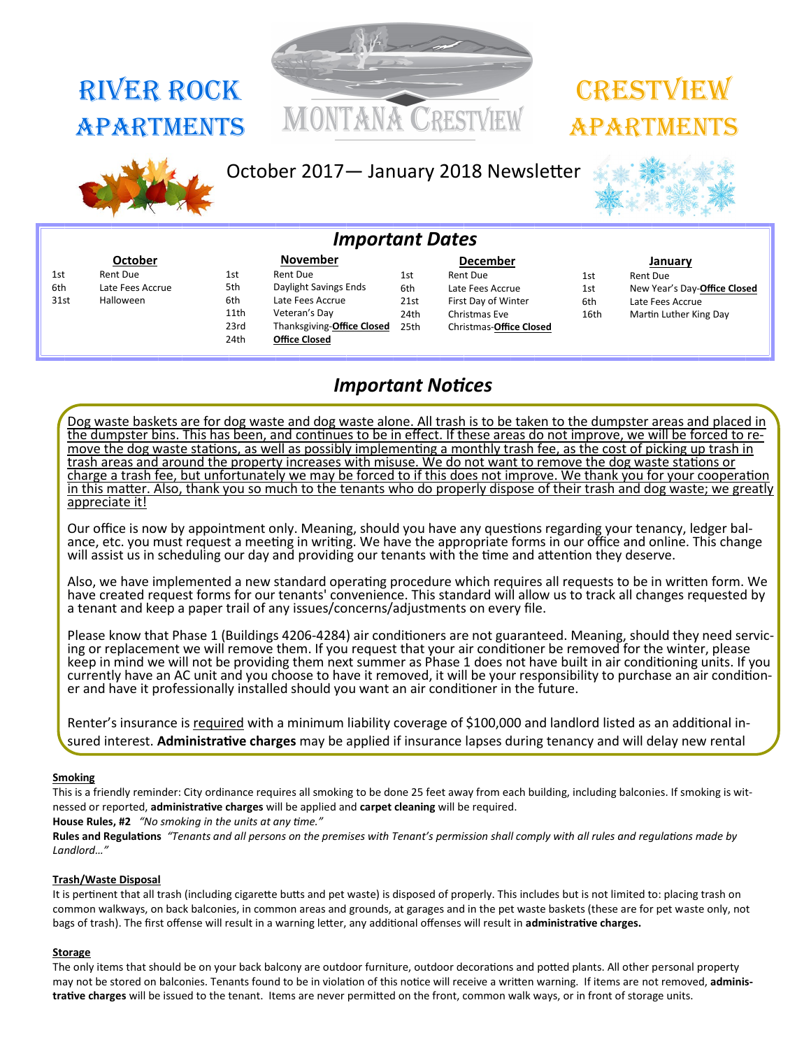# River Rock **APARTMENTS**



# **CRESTVIEW** Apartments



### October 2017— January 2018 Newsletter



### *Important Dates*

|      | October          |      | <b>November</b>            |      | <b>December</b>         |      | January                      |
|------|------------------|------|----------------------------|------|-------------------------|------|------------------------------|
| 1st  | Rent Due         | 1st  | Rent Due                   | 1st  | Rent Due                | 1st  | Rent Due                     |
| 6th  | Late Fees Accrue | 5th  | Daylight Savings Ends      | 6th  | Late Fees Accrue        | 1st  | New Year's Day-Office Closed |
| 31st | Halloween        | 6th  | Late Fees Accrue           | 21st | First Day of Winter     | 6th  | Late Fees Accrue             |
|      |                  | 11th | Veteran's Day              | 24th | Christmas Eve           | 16th | Martin Luther King Day       |
|      |                  | 23rd | Thanksgiving-Office Closed | 25th | Christmas-Office Closed |      |                              |
|      |                  | 24th | <b>Office Closed</b>       |      |                         |      |                              |
|      |                  |      |                            |      |                         |      |                              |

## *Important Notices*

Dog waste baskets are for dog waste and dog waste alone. All trash is to be taken to the dumpster areas and placed in the dumpster bins. This has been, and continues to be in effect. If these areas do not improve, we will be forced to remove the dog waste stations, as well as possibly implementing a monthly trash fee, as the cost of picking up trash in trash areas and around the property increases with misuse. We do not want to remove the dog waste stations or charge a trash fee, but unfortunately we may be forced to if this does not improve. We thank you for your cooperation in this matter. Also, thank you so much to the tenants who do properly dispose of their trash and dog waste; we greatly appreciate it!

Our office is now by appointment only. Meaning, should you have any questions regarding your tenancy, ledger balance, etc. you must request a meeting in writing. We have the appropriate forms in our office and online. This change will assist us in scheduling our day and providing our tenants with the time and attention they deserve.

Also, we have implemented a new standard operating procedure which requires all requests to be in written form. We have created request forms for our tenants' convenience. This standard will allow us to track all changes requested by a tenant and keep a paper trail of any issues/concerns/adjustments on every file.

Please know that Phase 1 (Buildings 4206-4284) air conditioners are not guaranteed. Meaning, should they need servicing or replacement we will remove them. If you request that your air conditioner be removed for the winter, please keep in mind we will not be providing them next summer as Phase 1 does not have built in air conditioning units. If you currently have an AC unit and you choose to have it removed, it will be your responsibility to purchase an air conditioner and have it professionally installed should you want an air conditioner in the future.

Renter's insurance is required with a minimum liability coverage of \$100,000 and landlord listed as an additional insured interest. **Administrative charges** may be applied if insurance lapses during tenancy and will delay new rental

#### **Smoking**

This is a friendly reminder: City ordinance requires all smoking to be done 25 feet away from each building, including balconies. If smoking is witnessed or reported, **administrative charges** will be applied and **carpet cleaning** will be required.

**House Rules, #2** *"No smoking in the units at any time."*

**Rules and Regulations** *"Tenants and all persons on the premises with Tenant's permission shall comply with all rules and regulations made by Landlord…"* 

#### **Trash/Waste Disposal**

It is pertinent that all trash (including cigarette butts and pet waste) is disposed of properly. This includes but is not limited to: placing trash on common walkways, on back balconies, in common areas and grounds, at garages and in the pet waste baskets (these are for pet waste only, not bags of trash). The first offense will result in a warning letter, any additional offenses will result in **administrative charges.**

#### **Storage**

The only items that should be on your back balcony are outdoor furniture, outdoor decorations and potted plants. All other personal property may not be stored on balconies. Tenants found to be in violation of this notice will receive a written warning. If items are not removed, **administrative charges** will be issued to the tenant. Items are never permitted on the front, common walk ways, or in front of storage units.